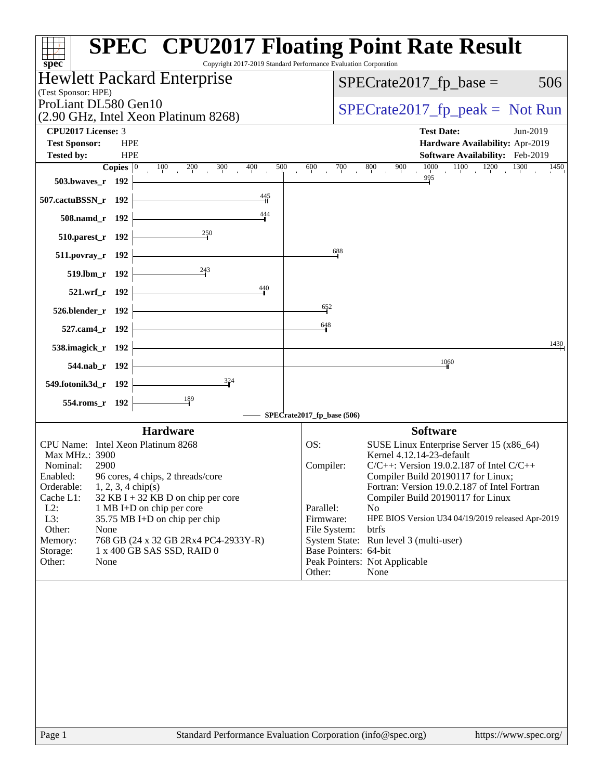| spec <sup>®</sup>                                                                                                                        | <b>SPEC<sup>®</sup> CPU2017 Floating Point Rate Result</b><br>Copyright 2017-2019 Standard Performance Evaluation Corporation              |
|------------------------------------------------------------------------------------------------------------------------------------------|--------------------------------------------------------------------------------------------------------------------------------------------|
| Hewlett Packard Enterprise<br>(Test Sponsor: HPE)                                                                                        | $SPECrate2017_fp\_base =$<br>506                                                                                                           |
| ProLiant DL580 Gen10<br>(2.90 GHz, Intel Xeon Platinum 8268)                                                                             | $SPECrate2017_fp\_peak = Not Run$                                                                                                          |
| <b>CPU2017 License: 3</b>                                                                                                                | <b>Test Date:</b><br>Jun-2019                                                                                                              |
| <b>Test Sponsor:</b><br><b>HPE</b>                                                                                                       | Hardware Availability: Apr-2019                                                                                                            |
| <b>HPE</b><br><b>Tested by:</b><br>Copies $ 0\rangle$<br>500                                                                             | Software Availability: Feb-2019<br>1000<br>900<br>1450                                                                                     |
| $100 \t 200$<br>$\frac{300}{1}$<br>$\frac{400}{1}$<br>503.bwaves_r 192                                                                   | $1100$ $1200$ $1300$<br>$\frac{600}{1}$<br>$\overline{700}$<br>$\frac{800}{1}$<br>$\mathbf{r}$ .<br>995                                    |
| 445<br>507.cactuBSSN_r 192                                                                                                               |                                                                                                                                            |
| 444<br>508.namd_r 192                                                                                                                    |                                                                                                                                            |
| $\frac{250}{4}$<br>510.parest_r 192                                                                                                      |                                                                                                                                            |
| 511.povray_r 192                                                                                                                         | 688                                                                                                                                        |
| $^{243}$<br>519.lbm_r 192                                                                                                                |                                                                                                                                            |
| 440<br>521.wrf_r 192                                                                                                                     |                                                                                                                                            |
| 526.blender_r 192                                                                                                                        | 652                                                                                                                                        |
| 527.cam4_r 192                                                                                                                           | 648                                                                                                                                        |
| 538.imagick_r 192                                                                                                                        | 1430                                                                                                                                       |
| 544.nab r 192                                                                                                                            | 1060                                                                                                                                       |
| $\frac{324}{9}$<br>549.fotonik3d_r 192                                                                                                   |                                                                                                                                            |
| 554.roms_r 192                                                                                                                           |                                                                                                                                            |
|                                                                                                                                          | SPECrate2017_fp_base (506)                                                                                                                 |
| <b>Hardware</b>                                                                                                                          | <b>Software</b>                                                                                                                            |
| CPU Name: Intel Xeon Platinum 8268<br>Max MHz.: 3900<br>Nominal:<br>2900                                                                 | SUSE Linux Enterprise Server 15 (x86_64)<br>OS:<br>Kernel 4.12.14-23-default<br>Compiler:<br>$C/C++$ : Version 19.0.2.187 of Intel $C/C++$ |
| Enabled:<br>96 cores, 4 chips, 2 threads/core<br>Orderable:<br>$1, 2, 3, 4$ chip(s)<br>$32$ KB I + 32 KB D on chip per core<br>Cache L1: | Compiler Build 20190117 for Linux;<br>Fortran: Version 19.0.2.187 of Intel Fortran<br>Compiler Build 20190117 for Linux                    |
| $L2$ :<br>1 MB I+D on chip per core                                                                                                      | Parallel:<br>N <sub>o</sub>                                                                                                                |
| L3:<br>35.75 MB I+D on chip per chip<br>Other:<br>None                                                                                   | Firmware:<br>HPE BIOS Version U34 04/19/2019 released Apr-2019<br>btrfs<br>File System:                                                    |
| 768 GB (24 x 32 GB 2Rx4 PC4-2933Y-R)<br>Memory:                                                                                          | System State: Run level 3 (multi-user)                                                                                                     |
| Storage:<br>1 x 400 GB SAS SSD, RAID 0                                                                                                   | Base Pointers: 64-bit                                                                                                                      |
| Other:<br>None                                                                                                                           | Peak Pointers: Not Applicable<br>Other:<br>None                                                                                            |
|                                                                                                                                          |                                                                                                                                            |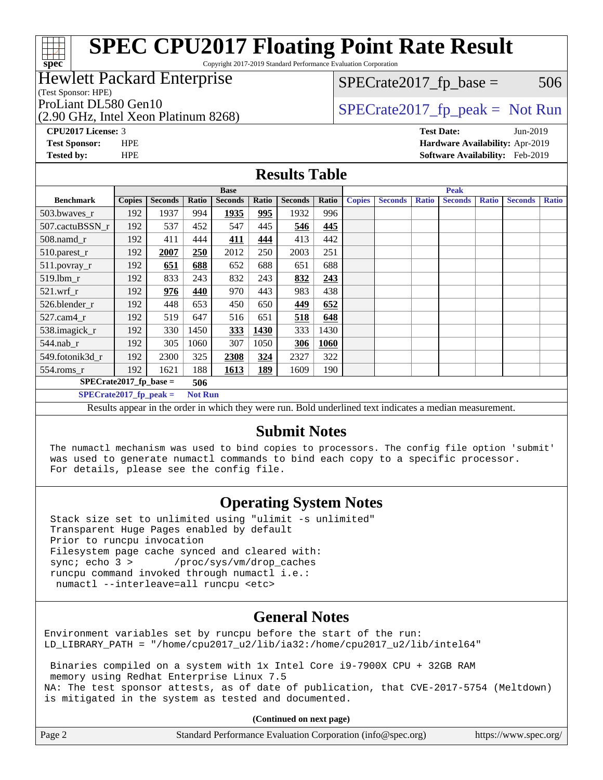Copyright 2017-2019 Standard Performance Evaluation Corporation

## Hewlett Packard Enterprise

(Test Sponsor: HPE)

(2.90 GHz, Intel Xeon Platinum 8268)

 $SPECTate2017<sub>fr</sub> base = 506$ 

# ProLiant DL580 Gen10  $SPECrate2017$  fp\_peak = Not Run

**[CPU2017 License:](http://www.spec.org/auto/cpu2017/Docs/result-fields.html#CPU2017License)** 3 **[Test Date:](http://www.spec.org/auto/cpu2017/Docs/result-fields.html#TestDate)** Jun-2019 **[Test Sponsor:](http://www.spec.org/auto/cpu2017/Docs/result-fields.html#TestSponsor)** HPE **[Hardware Availability:](http://www.spec.org/auto/cpu2017/Docs/result-fields.html#HardwareAvailability)** Apr-2019 **[Tested by:](http://www.spec.org/auto/cpu2017/Docs/result-fields.html#Testedby)** HPE **[Software Availability:](http://www.spec.org/auto/cpu2017/Docs/result-fields.html#SoftwareAvailability)** Feb-2019

## **[Results Table](http://www.spec.org/auto/cpu2017/Docs/result-fields.html#ResultsTable)**

|                                                                                                                                                                                                                                       | <b>Base</b>   |                |                |                |       |                | <b>Peak</b> |               |                |              |                |              |                |              |
|---------------------------------------------------------------------------------------------------------------------------------------------------------------------------------------------------------------------------------------|---------------|----------------|----------------|----------------|-------|----------------|-------------|---------------|----------------|--------------|----------------|--------------|----------------|--------------|
| <b>Benchmark</b>                                                                                                                                                                                                                      | <b>Copies</b> | <b>Seconds</b> | Ratio          | <b>Seconds</b> | Ratio | <b>Seconds</b> | Ratio       | <b>Copies</b> | <b>Seconds</b> | <b>Ratio</b> | <b>Seconds</b> | <b>Ratio</b> | <b>Seconds</b> | <b>Ratio</b> |
| 503.bwayes r                                                                                                                                                                                                                          | 192           | 1937           | 994            | 1935           | 995   | 1932           | 996         |               |                |              |                |              |                |              |
| 507.cactuBSSN r                                                                                                                                                                                                                       | 192           | 537            | 452            | 547            | 445   | 546            | 445         |               |                |              |                |              |                |              |
| $508$ .namd_r                                                                                                                                                                                                                         | 192           | 411            | 444            | 411            | 444   | 413            | 442         |               |                |              |                |              |                |              |
| 510.parest_r                                                                                                                                                                                                                          | 192           | 2007           | 250            | 2012           | 250   | 2003           | 251         |               |                |              |                |              |                |              |
| 511.povray_r                                                                                                                                                                                                                          | 192           | 651            | 688            | 652            | 688   | 651            | 688         |               |                |              |                |              |                |              |
| 519.lbm r                                                                                                                                                                                                                             | 192           | 833            | 243            | 832            | 243   | 832            | 243         |               |                |              |                |              |                |              |
| $521$ .wrf r                                                                                                                                                                                                                          | 192           | 976            | 440            | 970            | 443   | 983            | 438         |               |                |              |                |              |                |              |
| 526.blender r                                                                                                                                                                                                                         | 192           | 448            | 653            | 450            | 650   | 449            | 652         |               |                |              |                |              |                |              |
| $527$ .cam $4r$                                                                                                                                                                                                                       | 192           | 519            | 647            | 516            | 651   | 518            | 648         |               |                |              |                |              |                |              |
| 538.imagick_r                                                                                                                                                                                                                         | 192           | 330            | 1450           | 333            | 1430  | 333            | 1430        |               |                |              |                |              |                |              |
| $544$ .nab_r                                                                                                                                                                                                                          | 192           | 305            | 1060           | 307            | 1050  | 306            | 1060        |               |                |              |                |              |                |              |
| 549.fotonik3d r                                                                                                                                                                                                                       | 192           | 2300           | 325            | 2308           | 324   | 2327           | 322         |               |                |              |                |              |                |              |
| $554$ .roms_r                                                                                                                                                                                                                         | 192           | 1621           | 188            | 1613           | 189   | 1609           | 190         |               |                |              |                |              |                |              |
| $SPECrate2017_fp\_base =$<br>506                                                                                                                                                                                                      |               |                |                |                |       |                |             |               |                |              |                |              |                |              |
| $SPECrate2017$ fp peak =                                                                                                                                                                                                              |               |                | <b>Not Run</b> |                |       |                |             |               |                |              |                |              |                |              |
| $\mathbf{D}$ and the contract of the set of the decomposition $\mathbf{D}$ of dependent of decomposition of the contract of the contract of the set of the set of the set of the set of the set of the set of the set of the set of t |               |                |                |                |       |                |             |               |                |              |                |              |                |              |

Results appear in the [order in which they were run](http://www.spec.org/auto/cpu2017/Docs/result-fields.html#RunOrder). Bold underlined text [indicates a median measurement.](http://www.spec.org/auto/cpu2017/Docs/result-fields.html#Median)

## **[Submit Notes](http://www.spec.org/auto/cpu2017/Docs/result-fields.html#SubmitNotes)**

 The numactl mechanism was used to bind copies to processors. The config file option 'submit' was used to generate numactl commands to bind each copy to a specific processor. For details, please see the config file.

## **[Operating System Notes](http://www.spec.org/auto/cpu2017/Docs/result-fields.html#OperatingSystemNotes)**

 Stack size set to unlimited using "ulimit -s unlimited" Transparent Huge Pages enabled by default Prior to runcpu invocation Filesystem page cache synced and cleared with: sync; echo 3 > /proc/sys/vm/drop\_caches runcpu command invoked through numactl i.e.: numactl --interleave=all runcpu <etc>

## **[General Notes](http://www.spec.org/auto/cpu2017/Docs/result-fields.html#GeneralNotes)**

Environment variables set by runcpu before the start of the run: LD\_LIBRARY\_PATH = "/home/cpu2017\_u2/lib/ia32:/home/cpu2017\_u2/lib/intel64"

 Binaries compiled on a system with 1x Intel Core i9-7900X CPU + 32GB RAM memory using Redhat Enterprise Linux 7.5 NA: The test sponsor attests, as of date of publication, that CVE-2017-5754 (Meltdown) is mitigated in the system as tested and documented.

**(Continued on next page)**

| Page 2 | Standard Performance Evaluation Corporation (info@spec.org) | https://www.spec.org/ |
|--------|-------------------------------------------------------------|-----------------------|
|--------|-------------------------------------------------------------|-----------------------|

ti h **[spec](http://www.spec.org/)**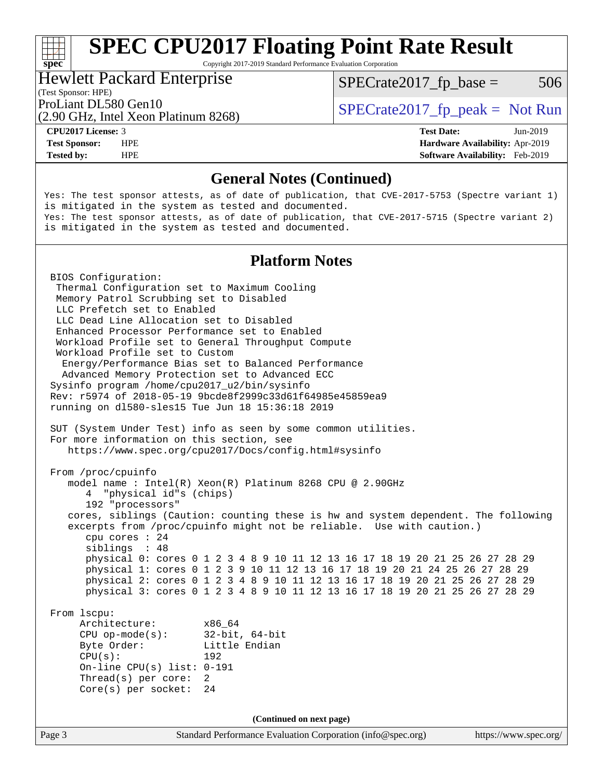Copyright 2017-2019 Standard Performance Evaluation Corporation

#### Hewlett Packard Enterprise

 $SPECTate2017<sub>fr</sub> base = 506$ 

# (Test Sponsor: HPE)

(2.90 GHz, Intel Xeon Platinum 8268)

ProLiant DL580 Gen10  $SPECrate2017$  fp\_peak = Not Run

**[spec](http://www.spec.org/)**

**[Tested by:](http://www.spec.org/auto/cpu2017/Docs/result-fields.html#Testedby)** HPE **[Software Availability:](http://www.spec.org/auto/cpu2017/Docs/result-fields.html#SoftwareAvailability)** Feb-2019

**[CPU2017 License:](http://www.spec.org/auto/cpu2017/Docs/result-fields.html#CPU2017License)** 3 **[Test Date:](http://www.spec.org/auto/cpu2017/Docs/result-fields.html#TestDate)** Jun-2019 **[Test Sponsor:](http://www.spec.org/auto/cpu2017/Docs/result-fields.html#TestSponsor)** HPE **[Hardware Availability:](http://www.spec.org/auto/cpu2017/Docs/result-fields.html#HardwareAvailability)** Apr-2019

## **[General Notes \(Continued\)](http://www.spec.org/auto/cpu2017/Docs/result-fields.html#GeneralNotes)**

Yes: The test sponsor attests, as of date of publication, that CVE-2017-5753 (Spectre variant 1) is mitigated in the system as tested and documented. Yes: The test sponsor attests, as of date of publication, that CVE-2017-5715 (Spectre variant 2) is mitigated in the system as tested and documented.

## **[Platform Notes](http://www.spec.org/auto/cpu2017/Docs/result-fields.html#PlatformNotes)**

Page 3 Standard Performance Evaluation Corporation [\(info@spec.org\)](mailto:info@spec.org) <https://www.spec.org/> BIOS Configuration: Thermal Configuration set to Maximum Cooling Memory Patrol Scrubbing set to Disabled LLC Prefetch set to Enabled LLC Dead Line Allocation set to Disabled Enhanced Processor Performance set to Enabled Workload Profile set to General Throughput Compute Workload Profile set to Custom Energy/Performance Bias set to Balanced Performance Advanced Memory Protection set to Advanced ECC Sysinfo program /home/cpu2017\_u2/bin/sysinfo Rev: r5974 of 2018-05-19 9bcde8f2999c33d61f64985e45859ea9 running on dl580-sles15 Tue Jun 18 15:36:18 2019 SUT (System Under Test) info as seen by some common utilities. For more information on this section, see <https://www.spec.org/cpu2017/Docs/config.html#sysinfo> From /proc/cpuinfo model name : Intel(R) Xeon(R) Platinum 8268 CPU @ 2.90GHz 4 "physical id"s (chips) 192 "processors" cores, siblings (Caution: counting these is hw and system dependent. The following excerpts from /proc/cpuinfo might not be reliable. Use with caution.) cpu cores : 24 siblings : 48 physical 0: cores 0 1 2 3 4 8 9 10 11 12 13 16 17 18 19 20 21 25 26 27 28 29 physical 1: cores 0 1 2 3 9 10 11 12 13 16 17 18 19 20 21 24 25 26 27 28 29 physical 2: cores 0 1 2 3 4 8 9 10 11 12 13 16 17 18 19 20 21 25 26 27 28 29 physical 3: cores 0 1 2 3 4 8 9 10 11 12 13 16 17 18 19 20 21 25 26 27 28 29 From lscpu: Architecture: x86\_64 CPU op-mode(s): 32-bit, 64-bit Byte Order: Little Endian CPU(s): 192 On-line CPU(s) list: 0-191 Thread(s) per core: 2 Core(s) per socket: 24 **(Continued on next page)**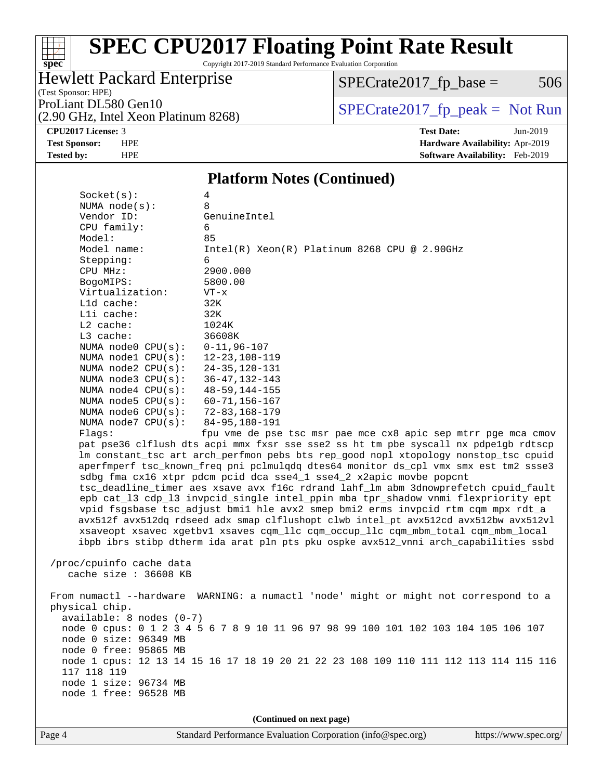# **[spec](http://www.spec.org/)**

# **[SPEC CPU2017 Floating Point Rate Result](http://www.spec.org/auto/cpu2017/Docs/result-fields.html#SPECCPU2017FloatingPointRateResult)**

Copyright 2017-2019 Standard Performance Evaluation Corporation

# Hewlett Packard Enterprise

 $SPECrate2017_fp\_base = 506$ 

(Test Sponsor: HPE)

ProLiant DL580 Gen10<br>  $(2.90 \text{ GHz} \text{ Intel } \text{Xeon} \text{ Platinum } 8268)$  SPECrate 2017\_fp\_peak = Not Run

# (2.90 GHz, Intel Xeon Platinum 8268)

**[CPU2017 License:](http://www.spec.org/auto/cpu2017/Docs/result-fields.html#CPU2017License)** 3 **[Test Date:](http://www.spec.org/auto/cpu2017/Docs/result-fields.html#TestDate)** Jun-2019 **[Test Sponsor:](http://www.spec.org/auto/cpu2017/Docs/result-fields.html#TestSponsor)** HPE **[Hardware Availability:](http://www.spec.org/auto/cpu2017/Docs/result-fields.html#HardwareAvailability)** Apr-2019 **[Tested by:](http://www.spec.org/auto/cpu2017/Docs/result-fields.html#Testedby)** HPE **[Software Availability:](http://www.spec.org/auto/cpu2017/Docs/result-fields.html#SoftwareAvailability)** Feb-2019

#### **[Platform Notes \(Continued\)](http://www.spec.org/auto/cpu2017/Docs/result-fields.html#PlatformNotes)**

| Socket(s):                 | 4                                                                                    |
|----------------------------|--------------------------------------------------------------------------------------|
| NUMA $node(s):$            | 8                                                                                    |
| Vendor ID:                 | GenuineIntel                                                                         |
| CPU family:                | 6                                                                                    |
| Model:                     | 85                                                                                   |
| Model name:                | Intel(R) Xeon(R) Platinum 8268 CPU @ 2.90GHz                                         |
| Stepping:                  | 6                                                                                    |
| CPU MHz:                   | 2900.000                                                                             |
| BogoMIPS:                  | 5800.00                                                                              |
| Virtualization:            | $VT - x$                                                                             |
| L1d cache:                 | 32K                                                                                  |
| Lli cache:                 | 32K                                                                                  |
| $L2$ cache:                | 1024K                                                                                |
| L3 cache:                  | 36608K                                                                               |
| NUMA $node0$ $CPU(s):$     | $0 - 11, 96 - 107$                                                                   |
| NUMA $node1$ $CPU(s):$     | $12 - 23, 108 - 119$                                                                 |
| NUMA node2 CPU(s):         | $24 - 35, 120 - 131$                                                                 |
| NUMA $node3$ $CPU(s):$     | $36 - 47, 132 - 143$                                                                 |
| NUMA $node4$ $CPU(s):$     | 48-59,144-155                                                                        |
| NUMA $node5$ $CPU(s):$     | $60 - 71, 156 - 167$                                                                 |
| NUMA $node6$ $CPU(s):$     | 72-83,168-179                                                                        |
| NUMA $node7$ $CPU(s):$     | 84-95,180-191                                                                        |
| Flaqs:                     | fpu vme de pse tsc msr pae mce cx8 apic sep mtrr pge mca cmov                        |
|                            | pat pse36 clflush dts acpi mmx fxsr sse sse2 ss ht tm pbe syscall nx pdpelgb rdtscp  |
|                            | lm constant_tsc art arch_perfmon pebs bts rep_good nopl xtopology nonstop_tsc cpuid  |
|                            | aperfmperf tsc known freq pni pclmulqdq dtes64 monitor ds cpl vmx smx est tm2 ssse3  |
|                            | sdbg fma cx16 xtpr pdcm pcid dca sse4_1 sse4_2 x2apic movbe popcnt                   |
|                            | tsc_deadline_timer aes xsave avx f16c rdrand lahf_lm abm 3dnowprefetch cpuid_fault   |
|                            | epb cat_13 cdp_13 invpcid_single intel_ppin mba tpr_shadow vnmi flexpriority ept     |
|                            | vpid fsgsbase tsc_adjust bmil hle avx2 smep bmi2 erms invpcid rtm cqm mpx rdt_a      |
|                            | avx512f avx512dq rdseed adx smap clflushopt clwb intel_pt avx512cd avx512bw avx512vl |
|                            | xsaveopt xsavec xgetbvl xsaves cqm_llc cqm_occup_llc cqm_mbm_total cqm_mbm_local     |
|                            | ibpb ibrs stibp dtherm ida arat pln pts pku ospke avx512_vnni arch_capabilities ssbd |
|                            |                                                                                      |
| /proc/cpuinfo cache data   |                                                                                      |
| cache size $: 36608$ KB    |                                                                                      |
|                            | From numactl --hardware WARNING: a numactl 'node' might or might not correspond to a |
| physical chip.             |                                                                                      |
| $available: 8 nodes (0-7)$ |                                                                                      |
|                            | node 0 cpus: 0 1 2 3 4 5 6 7 8 9 10 11 96 97 98 99 100 101 102 103 104 105 106 107   |
| node 0 size: 96349 MB      |                                                                                      |
| node 0 free: 95865 MB      |                                                                                      |
|                            | node 1 cpus: 12 13 14 15 16 17 18 19 20 21 22 23 108 109 110 111 112 113 114 115 116 |
| 117 118 119                |                                                                                      |
| node 1 size: 96734 MB      |                                                                                      |
| node 1 free: 96528 MB      |                                                                                      |
|                            |                                                                                      |
|                            | (Continued on next page)                                                             |
|                            |                                                                                      |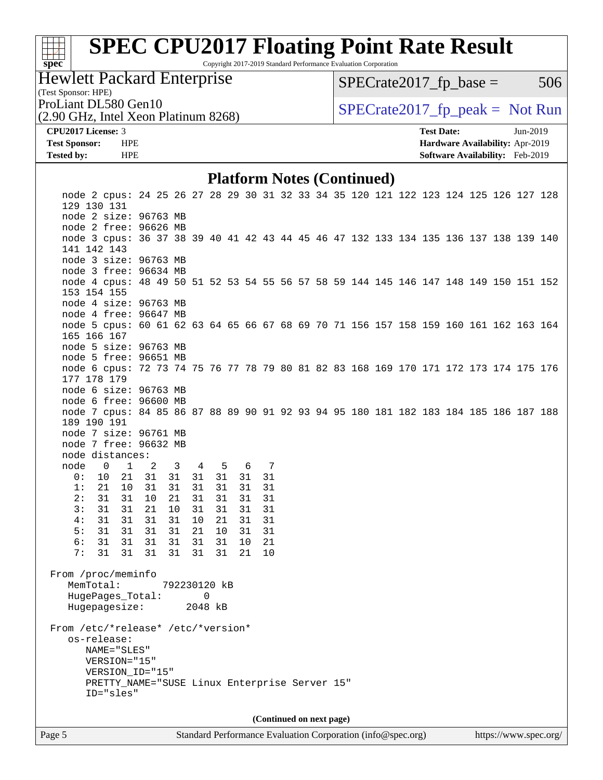# **[spec](http://www.spec.org/)**<sup>®</sup>

# **[SPEC CPU2017 Floating Point Rate Result](http://www.spec.org/auto/cpu2017/Docs/result-fields.html#SPECCPU2017FloatingPointRateResult)**

Copyright 2017-2019 Standard Performance Evaluation Corporation

## Hewlett Packard Enterprise

 $SPECTate2017<sub>fr</sub> base = 506$ 

# (Test Sponsor: HPE)

(2.90 GHz, Intel Xeon Platinum 8268)

ProLiant DL580 Gen10  $SPECrate2017$  fp\_peak = Not Run

#### **[CPU2017 License:](http://www.spec.org/auto/cpu2017/Docs/result-fields.html#CPU2017License)** 3 **[Test Date:](http://www.spec.org/auto/cpu2017/Docs/result-fields.html#TestDate)** Jun-2019 **[Test Sponsor:](http://www.spec.org/auto/cpu2017/Docs/result-fields.html#TestSponsor)** HPE **[Hardware Availability:](http://www.spec.org/auto/cpu2017/Docs/result-fields.html#HardwareAvailability)** Apr-2019 **[Tested by:](http://www.spec.org/auto/cpu2017/Docs/result-fields.html#Testedby)** HPE **[Software Availability:](http://www.spec.org/auto/cpu2017/Docs/result-fields.html#SoftwareAvailability)** Feb-2019

#### **[Platform Notes \(Continued\)](http://www.spec.org/auto/cpu2017/Docs/result-fields.html#PlatformNotes)**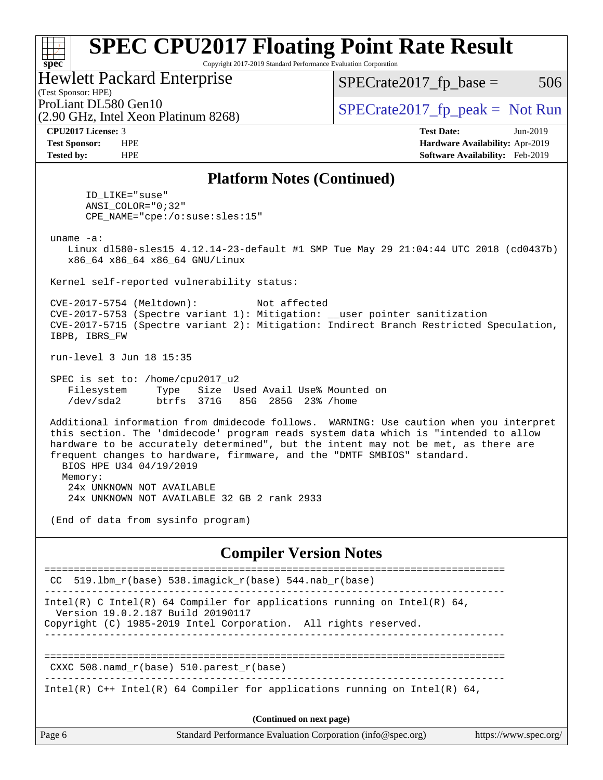Copyright 2017-2019 Standard Performance Evaluation Corporation

#### (Test Sponsor: HPE) Hewlett Packard Enterprise

(2.90 GHz, Intel Xeon Platinum 8268)

 $SPECTate2017<sub>fr</sub> base = 506$ 

ProLiant DL580 Gen10  $SPECrate2017$  fp\_peak = Not Run

**[spec](http://www.spec.org/)**

ti h

**[CPU2017 License:](http://www.spec.org/auto/cpu2017/Docs/result-fields.html#CPU2017License)** 3 **[Test Date:](http://www.spec.org/auto/cpu2017/Docs/result-fields.html#TestDate)** Jun-2019 **[Test Sponsor:](http://www.spec.org/auto/cpu2017/Docs/result-fields.html#TestSponsor)** HPE **[Hardware Availability:](http://www.spec.org/auto/cpu2017/Docs/result-fields.html#HardwareAvailability)** Apr-2019 **[Tested by:](http://www.spec.org/auto/cpu2017/Docs/result-fields.html#Testedby)** HPE **[Software Availability:](http://www.spec.org/auto/cpu2017/Docs/result-fields.html#SoftwareAvailability)** Feb-2019

## **[Platform Notes \(Continued\)](http://www.spec.org/auto/cpu2017/Docs/result-fields.html#PlatformNotes)**

 ID\_LIKE="suse" ANSI\_COLOR="0;32" CPE\_NAME="cpe:/o:suse:sles:15"

uname -a:

 Linux dl580-sles15 4.12.14-23-default #1 SMP Tue May 29 21:04:44 UTC 2018 (cd0437b) x86\_64 x86\_64 x86\_64 GNU/Linux

Kernel self-reported vulnerability status:

 CVE-2017-5754 (Meltdown): Not affected CVE-2017-5753 (Spectre variant 1): Mitigation: \_\_user pointer sanitization CVE-2017-5715 (Spectre variant 2): Mitigation: Indirect Branch Restricted Speculation, IBPB, IBRS\_FW

run-level 3 Jun 18 15:35

 SPEC is set to: /home/cpu2017\_u2 Filesystem Type Size Used Avail Use% Mounted on /dev/sda2 btrfs 371G 85G 285G 23% /home

 Additional information from dmidecode follows. WARNING: Use caution when you interpret this section. The 'dmidecode' program reads system data which is "intended to allow hardware to be accurately determined", but the intent may not be met, as there are frequent changes to hardware, firmware, and the "DMTF SMBIOS" standard. BIOS HPE U34 04/19/2019 Memory:

 24x UNKNOWN NOT AVAILABLE 24x UNKNOWN NOT AVAILABLE 32 GB 2 rank 2933

(End of data from sysinfo program)

## **[Compiler Version Notes](http://www.spec.org/auto/cpu2017/Docs/result-fields.html#CompilerVersionNotes)**

| Page 6                                                                                                        | Standard Performance Evaluation Corporation (info@spec.org)     | https://www.spec.org/ |  |  |  |
|---------------------------------------------------------------------------------------------------------------|-----------------------------------------------------------------|-----------------------|--|--|--|
| (Continued on next page)                                                                                      |                                                                 |                       |  |  |  |
| Intel(R) $C++$ Intel(R) 64 Compiler for applications running on Intel(R) 64,                                  |                                                                 |                       |  |  |  |
|                                                                                                               | CXXC 508. namd $r(base)$ 510. parest $r(base)$                  |                       |  |  |  |
|                                                                                                               | Copyright (C) 1985-2019 Intel Corporation. All rights reserved. |                       |  |  |  |
| Intel(R) C Intel(R) 64 Compiler for applications running on Intel(R) 64,<br>Version 19.0.2.187 Build 20190117 |                                                                 |                       |  |  |  |
|                                                                                                               | CC 519.1bm $r(base)$ 538.imagick $r(base)$ 544.nab $r(base)$    |                       |  |  |  |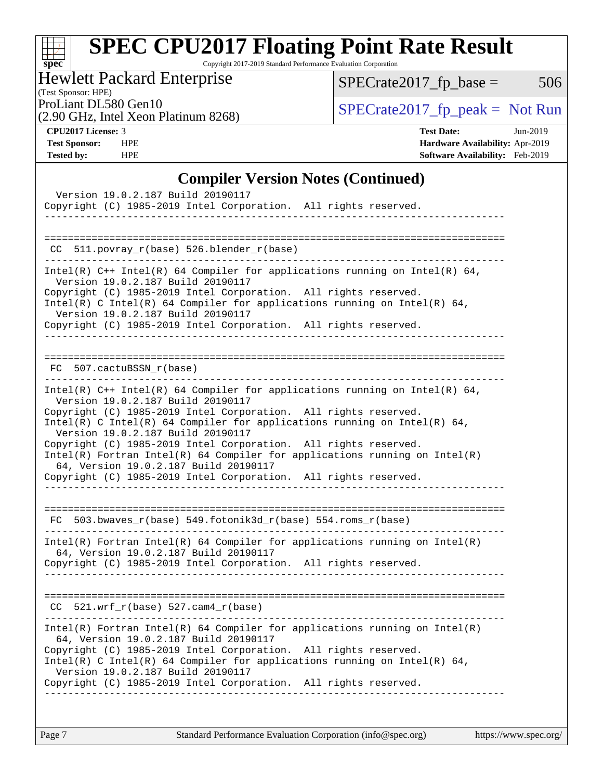| S<br>e<br>IJ<br>C |  |  |  |  |  |  |
|-------------------|--|--|--|--|--|--|

Copyright 2017-2019 Standard Performance Evaluation Corporation

Hewlett Packard Enterprise

(2.90 GHz, Intel Xeon Platinum 8268)

 $SPECTate2017_fp\_base = 506$ 

(Test Sponsor: HPE)

ProLiant DL580 Gen10<br>  $\begin{array}{r} \text{SPECrate2017\_fp\_peak = Not Run} \\ \text{SPECrate2017\_fp\_peak = Not Run} \end{array}$ 

**[CPU2017 License:](http://www.spec.org/auto/cpu2017/Docs/result-fields.html#CPU2017License)** 3 **[Test Date:](http://www.spec.org/auto/cpu2017/Docs/result-fields.html#TestDate)** Jun-2019 **[Test Sponsor:](http://www.spec.org/auto/cpu2017/Docs/result-fields.html#TestSponsor)** HPE **[Hardware Availability:](http://www.spec.org/auto/cpu2017/Docs/result-fields.html#HardwareAvailability)** Apr-2019 **[Tested by:](http://www.spec.org/auto/cpu2017/Docs/result-fields.html#Testedby)** HPE **[Software Availability:](http://www.spec.org/auto/cpu2017/Docs/result-fields.html#SoftwareAvailability)** Feb-2019

## **[Compiler Version Notes \(Continued\)](http://www.spec.org/auto/cpu2017/Docs/result-fields.html#CompilerVersionNotes)**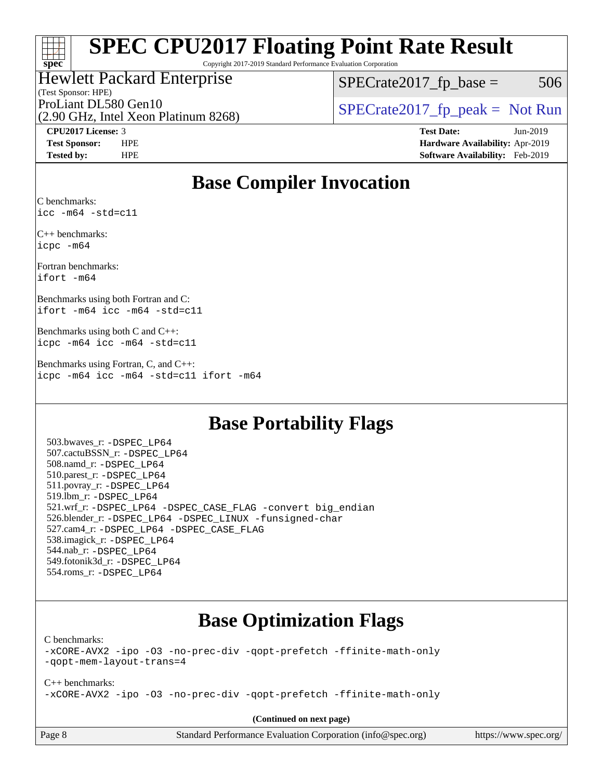## $\pm\pm\tau$ **[spec](http://www.spec.org/)**

# **[SPEC CPU2017 Floating Point Rate Result](http://www.spec.org/auto/cpu2017/Docs/result-fields.html#SPECCPU2017FloatingPointRateResult)**

Copyright 2017-2019 Standard Performance Evaluation Corporation

#### (Test Sponsor: HPE) Hewlett Packard Enterprise

(2.90 GHz, Intel Xeon Platinum 8268)

 $SPECTate2017<sub>fr</sub> base = 506$ 

ProLiant DL580 Gen10<br>  $SPECTR_{12}$  [SPECrate2017\\_fp\\_peak =](http://www.spec.org/auto/cpu2017/Docs/result-fields.html#SPECrate2017fppeak) Not Run

**[CPU2017 License:](http://www.spec.org/auto/cpu2017/Docs/result-fields.html#CPU2017License)** 3 **[Test Date:](http://www.spec.org/auto/cpu2017/Docs/result-fields.html#TestDate)** Jun-2019 **[Test Sponsor:](http://www.spec.org/auto/cpu2017/Docs/result-fields.html#TestSponsor)** HPE **[Hardware Availability:](http://www.spec.org/auto/cpu2017/Docs/result-fields.html#HardwareAvailability)** Apr-2019 **[Tested by:](http://www.spec.org/auto/cpu2017/Docs/result-fields.html#Testedby)** HPE **[Software Availability:](http://www.spec.org/auto/cpu2017/Docs/result-fields.html#SoftwareAvailability)** Feb-2019

# **[Base Compiler Invocation](http://www.spec.org/auto/cpu2017/Docs/result-fields.html#BaseCompilerInvocation)**

[C benchmarks](http://www.spec.org/auto/cpu2017/Docs/result-fields.html#Cbenchmarks): [icc -m64 -std=c11](http://www.spec.org/cpu2017/results/res2019q3/cpu2017-20190625-15771.flags.html#user_CCbase_intel_icc_64bit_c11_33ee0cdaae7deeeab2a9725423ba97205ce30f63b9926c2519791662299b76a0318f32ddfffdc46587804de3178b4f9328c46fa7c2b0cd779d7a61945c91cd35)

[C++ benchmarks](http://www.spec.org/auto/cpu2017/Docs/result-fields.html#CXXbenchmarks): [icpc -m64](http://www.spec.org/cpu2017/results/res2019q3/cpu2017-20190625-15771.flags.html#user_CXXbase_intel_icpc_64bit_4ecb2543ae3f1412ef961e0650ca070fec7b7afdcd6ed48761b84423119d1bf6bdf5cad15b44d48e7256388bc77273b966e5eb805aefd121eb22e9299b2ec9d9)

[Fortran benchmarks:](http://www.spec.org/auto/cpu2017/Docs/result-fields.html#Fortranbenchmarks) [ifort -m64](http://www.spec.org/cpu2017/results/res2019q3/cpu2017-20190625-15771.flags.html#user_FCbase_intel_ifort_64bit_24f2bb282fbaeffd6157abe4f878425411749daecae9a33200eee2bee2fe76f3b89351d69a8130dd5949958ce389cf37ff59a95e7a40d588e8d3a57e0c3fd751)

[Benchmarks using both Fortran and C](http://www.spec.org/auto/cpu2017/Docs/result-fields.html#BenchmarksusingbothFortranandC): [ifort -m64](http://www.spec.org/cpu2017/results/res2019q3/cpu2017-20190625-15771.flags.html#user_CC_FCbase_intel_ifort_64bit_24f2bb282fbaeffd6157abe4f878425411749daecae9a33200eee2bee2fe76f3b89351d69a8130dd5949958ce389cf37ff59a95e7a40d588e8d3a57e0c3fd751) [icc -m64 -std=c11](http://www.spec.org/cpu2017/results/res2019q3/cpu2017-20190625-15771.flags.html#user_CC_FCbase_intel_icc_64bit_c11_33ee0cdaae7deeeab2a9725423ba97205ce30f63b9926c2519791662299b76a0318f32ddfffdc46587804de3178b4f9328c46fa7c2b0cd779d7a61945c91cd35)

[Benchmarks using both C and C++:](http://www.spec.org/auto/cpu2017/Docs/result-fields.html#BenchmarksusingbothCandCXX) [icpc -m64](http://www.spec.org/cpu2017/results/res2019q3/cpu2017-20190625-15771.flags.html#user_CC_CXXbase_intel_icpc_64bit_4ecb2543ae3f1412ef961e0650ca070fec7b7afdcd6ed48761b84423119d1bf6bdf5cad15b44d48e7256388bc77273b966e5eb805aefd121eb22e9299b2ec9d9) [icc -m64 -std=c11](http://www.spec.org/cpu2017/results/res2019q3/cpu2017-20190625-15771.flags.html#user_CC_CXXbase_intel_icc_64bit_c11_33ee0cdaae7deeeab2a9725423ba97205ce30f63b9926c2519791662299b76a0318f32ddfffdc46587804de3178b4f9328c46fa7c2b0cd779d7a61945c91cd35)

[Benchmarks using Fortran, C, and C++](http://www.spec.org/auto/cpu2017/Docs/result-fields.html#BenchmarksusingFortranCandCXX): [icpc -m64](http://www.spec.org/cpu2017/results/res2019q3/cpu2017-20190625-15771.flags.html#user_CC_CXX_FCbase_intel_icpc_64bit_4ecb2543ae3f1412ef961e0650ca070fec7b7afdcd6ed48761b84423119d1bf6bdf5cad15b44d48e7256388bc77273b966e5eb805aefd121eb22e9299b2ec9d9) [icc -m64 -std=c11](http://www.spec.org/cpu2017/results/res2019q3/cpu2017-20190625-15771.flags.html#user_CC_CXX_FCbase_intel_icc_64bit_c11_33ee0cdaae7deeeab2a9725423ba97205ce30f63b9926c2519791662299b76a0318f32ddfffdc46587804de3178b4f9328c46fa7c2b0cd779d7a61945c91cd35) [ifort -m64](http://www.spec.org/cpu2017/results/res2019q3/cpu2017-20190625-15771.flags.html#user_CC_CXX_FCbase_intel_ifort_64bit_24f2bb282fbaeffd6157abe4f878425411749daecae9a33200eee2bee2fe76f3b89351d69a8130dd5949958ce389cf37ff59a95e7a40d588e8d3a57e0c3fd751)

# **[Base Portability Flags](http://www.spec.org/auto/cpu2017/Docs/result-fields.html#BasePortabilityFlags)**

 503.bwaves\_r: [-DSPEC\\_LP64](http://www.spec.org/cpu2017/results/res2019q3/cpu2017-20190625-15771.flags.html#suite_basePORTABILITY503_bwaves_r_DSPEC_LP64) 507.cactuBSSN\_r: [-DSPEC\\_LP64](http://www.spec.org/cpu2017/results/res2019q3/cpu2017-20190625-15771.flags.html#suite_basePORTABILITY507_cactuBSSN_r_DSPEC_LP64) 508.namd\_r: [-DSPEC\\_LP64](http://www.spec.org/cpu2017/results/res2019q3/cpu2017-20190625-15771.flags.html#suite_basePORTABILITY508_namd_r_DSPEC_LP64) 510.parest\_r: [-DSPEC\\_LP64](http://www.spec.org/cpu2017/results/res2019q3/cpu2017-20190625-15771.flags.html#suite_basePORTABILITY510_parest_r_DSPEC_LP64) 511.povray\_r: [-DSPEC\\_LP64](http://www.spec.org/cpu2017/results/res2019q3/cpu2017-20190625-15771.flags.html#suite_basePORTABILITY511_povray_r_DSPEC_LP64) 519.lbm\_r: [-DSPEC\\_LP64](http://www.spec.org/cpu2017/results/res2019q3/cpu2017-20190625-15771.flags.html#suite_basePORTABILITY519_lbm_r_DSPEC_LP64) 521.wrf\_r: [-DSPEC\\_LP64](http://www.spec.org/cpu2017/results/res2019q3/cpu2017-20190625-15771.flags.html#suite_basePORTABILITY521_wrf_r_DSPEC_LP64) [-DSPEC\\_CASE\\_FLAG](http://www.spec.org/cpu2017/results/res2019q3/cpu2017-20190625-15771.flags.html#b521.wrf_r_baseCPORTABILITY_DSPEC_CASE_FLAG) [-convert big\\_endian](http://www.spec.org/cpu2017/results/res2019q3/cpu2017-20190625-15771.flags.html#user_baseFPORTABILITY521_wrf_r_convert_big_endian_c3194028bc08c63ac5d04de18c48ce6d347e4e562e8892b8bdbdc0214820426deb8554edfa529a3fb25a586e65a3d812c835984020483e7e73212c4d31a38223) 526.blender\_r: [-DSPEC\\_LP64](http://www.spec.org/cpu2017/results/res2019q3/cpu2017-20190625-15771.flags.html#suite_basePORTABILITY526_blender_r_DSPEC_LP64) [-DSPEC\\_LINUX](http://www.spec.org/cpu2017/results/res2019q3/cpu2017-20190625-15771.flags.html#b526.blender_r_baseCPORTABILITY_DSPEC_LINUX) [-funsigned-char](http://www.spec.org/cpu2017/results/res2019q3/cpu2017-20190625-15771.flags.html#user_baseCPORTABILITY526_blender_r_force_uchar_40c60f00ab013830e2dd6774aeded3ff59883ba5a1fc5fc14077f794d777847726e2a5858cbc7672e36e1b067e7e5c1d9a74f7176df07886a243d7cc18edfe67) 527.cam4\_r: [-DSPEC\\_LP64](http://www.spec.org/cpu2017/results/res2019q3/cpu2017-20190625-15771.flags.html#suite_basePORTABILITY527_cam4_r_DSPEC_LP64) [-DSPEC\\_CASE\\_FLAG](http://www.spec.org/cpu2017/results/res2019q3/cpu2017-20190625-15771.flags.html#b527.cam4_r_baseCPORTABILITY_DSPEC_CASE_FLAG) 538.imagick\_r: [-DSPEC\\_LP64](http://www.spec.org/cpu2017/results/res2019q3/cpu2017-20190625-15771.flags.html#suite_basePORTABILITY538_imagick_r_DSPEC_LP64) 544.nab\_r: [-DSPEC\\_LP64](http://www.spec.org/cpu2017/results/res2019q3/cpu2017-20190625-15771.flags.html#suite_basePORTABILITY544_nab_r_DSPEC_LP64) 549.fotonik3d\_r: [-DSPEC\\_LP64](http://www.spec.org/cpu2017/results/res2019q3/cpu2017-20190625-15771.flags.html#suite_basePORTABILITY549_fotonik3d_r_DSPEC_LP64) 554.roms\_r: [-DSPEC\\_LP64](http://www.spec.org/cpu2017/results/res2019q3/cpu2017-20190625-15771.flags.html#suite_basePORTABILITY554_roms_r_DSPEC_LP64)

# **[Base Optimization Flags](http://www.spec.org/auto/cpu2017/Docs/result-fields.html#BaseOptimizationFlags)**

[C benchmarks](http://www.spec.org/auto/cpu2017/Docs/result-fields.html#Cbenchmarks):

[-xCORE-AVX2](http://www.spec.org/cpu2017/results/res2019q3/cpu2017-20190625-15771.flags.html#user_CCbase_f-xCORE-AVX2) [-ipo](http://www.spec.org/cpu2017/results/res2019q3/cpu2017-20190625-15771.flags.html#user_CCbase_f-ipo) [-O3](http://www.spec.org/cpu2017/results/res2019q3/cpu2017-20190625-15771.flags.html#user_CCbase_f-O3) [-no-prec-div](http://www.spec.org/cpu2017/results/res2019q3/cpu2017-20190625-15771.flags.html#user_CCbase_f-no-prec-div) [-qopt-prefetch](http://www.spec.org/cpu2017/results/res2019q3/cpu2017-20190625-15771.flags.html#user_CCbase_f-qopt-prefetch) [-ffinite-math-only](http://www.spec.org/cpu2017/results/res2019q3/cpu2017-20190625-15771.flags.html#user_CCbase_f_finite_math_only_cb91587bd2077682c4b38af759c288ed7c732db004271a9512da14a4f8007909a5f1427ecbf1a0fb78ff2a814402c6114ac565ca162485bbcae155b5e4258871) [-qopt-mem-layout-trans=4](http://www.spec.org/cpu2017/results/res2019q3/cpu2017-20190625-15771.flags.html#user_CCbase_f-qopt-mem-layout-trans_fa39e755916c150a61361b7846f310bcdf6f04e385ef281cadf3647acec3f0ae266d1a1d22d972a7087a248fd4e6ca390a3634700869573d231a252c784941a8)

[C++ benchmarks:](http://www.spec.org/auto/cpu2017/Docs/result-fields.html#CXXbenchmarks) [-xCORE-AVX2](http://www.spec.org/cpu2017/results/res2019q3/cpu2017-20190625-15771.flags.html#user_CXXbase_f-xCORE-AVX2) [-ipo](http://www.spec.org/cpu2017/results/res2019q3/cpu2017-20190625-15771.flags.html#user_CXXbase_f-ipo) [-O3](http://www.spec.org/cpu2017/results/res2019q3/cpu2017-20190625-15771.flags.html#user_CXXbase_f-O3) [-no-prec-div](http://www.spec.org/cpu2017/results/res2019q3/cpu2017-20190625-15771.flags.html#user_CXXbase_f-no-prec-div) [-qopt-prefetch](http://www.spec.org/cpu2017/results/res2019q3/cpu2017-20190625-15771.flags.html#user_CXXbase_f-qopt-prefetch) [-ffinite-math-only](http://www.spec.org/cpu2017/results/res2019q3/cpu2017-20190625-15771.flags.html#user_CXXbase_f_finite_math_only_cb91587bd2077682c4b38af759c288ed7c732db004271a9512da14a4f8007909a5f1427ecbf1a0fb78ff2a814402c6114ac565ca162485bbcae155b5e4258871)

**(Continued on next page)**

| Page 8 |  |  |  |
|--------|--|--|--|
|--------|--|--|--|

Page 8 Standard Performance Evaluation Corporation [\(info@spec.org\)](mailto:info@spec.org) <https://www.spec.org/>